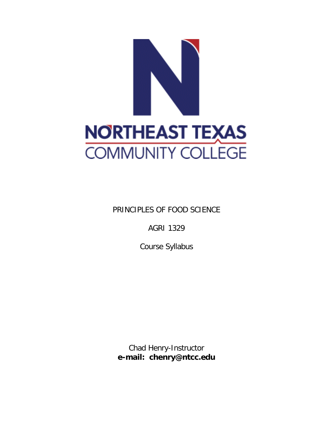

PRINCIPLES OF FOOD SCIENCE

AGRI 1329

Course Syllabus

Chad Henry-Instructor **e-mail: chenry@ntcc.edu**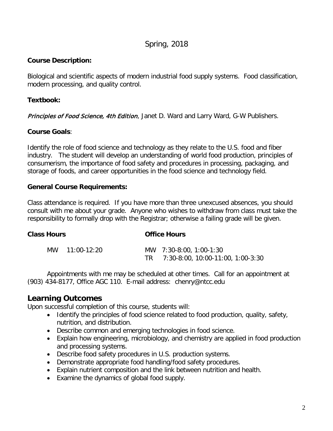# Spring, 2018

## **Course Description:**

Biological and scientific aspects of modern industrial food supply systems. Food classification, modern processing, and quality control.

## **Textbook:**

[Principles of Food Science, 4th Edition](https://www.g-wonlinetextbooks.com/principles-food-science-2015/), Janet D. Ward and Larry Ward, G-W Publishers.

## **Course Goals**:

Identify the role of food science and technology as they relate to the U.S. food and fiber industry. The student will develop an understanding of world food production, principles of consumerism, the importance of food safety and procedures in processing, packaging, and storage of foods, and career opportunities in the food science and technology field.

## **General Course Requirements:**

Class attendance is required. If you have more than three unexcused absences, you should consult with me about your grade. Anyone who wishes to withdraw from class must take the responsibility to formally drop with the Registrar; otherwise a failing grade will be given.

| <b>Class Hours</b> |                | <b>Office Hours</b>                                             |  |
|--------------------|----------------|-----------------------------------------------------------------|--|
|                    | MW 11:00-12:20 | MW 7:30-8:00, 1:00-1:30<br>TR 7:30-8:00, 10:00-11:00, 1:00-3:30 |  |

Appointments with me may be scheduled at other times. Call for an appointment at (903) 434-8177, Office AGC 110. E-mail address: chenry@ntcc.edu

# **Learning Outcomes**

Upon successful completion of this course, students will:

- Identify the principles of food science related to food production, quality, safety, nutrition, and distribution.
- Describe common and emerging technologies in food science.
- Explain how engineering, microbiology, and chemistry are applied in food production and processing systems.
- Describe food safety procedures in U.S. production systems.
- Demonstrate appropriate food handling/food safety procedures.
- Explain nutrient composition and the link between nutrition and health.
- Examine the dynamics of global food supply.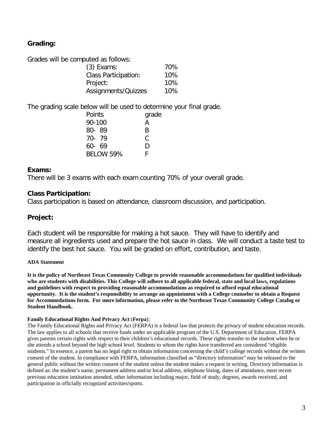# **Grading:**

Grades will be computed as follows:

| $(3)$ Exams:                | 70% |
|-----------------------------|-----|
| <b>Class Participation:</b> | 10% |
| Project:                    | 10% |
| Assignments/Quizzes         | 10% |

The grading scale below will be used to determine your final grade.

| Points           | grade |
|------------------|-------|
| 90-100           | A     |
| 80-89            | R     |
| 70-79            | C     |
| $60 - 69$        | D     |
| <b>BELOW 59%</b> | F     |

### **Exams:**

There will be 3 exams with each exam counting 70% of your overall grade.

## **Class Participation:**

Class participation is based on attendance, classroom discussion, and participation.

## **Project:**

Each student will be responsible for making a hot sauce. They will have to identify and measure all ingredients used and prepare the hot sauce in class. We will conduct a taste test to identify the best hot sauce. You will be graded on effort, contribution, and taste.

### **ADA Statement**

**It is the policy of Northeast Texas Community College to provide reasonable accommodations for qualified individuals who are students with disabilities. This College will adhere to all applicable federal, state and local laws, regulations and guidelines with respect to providing reasonable accommodations as required to afford equal educational opportunity. It is the student's responsibility to arrange an appointment with a College counselor to obtain a Request for Accommodations form. For more information, please refer to the Northeast Texas Community College Catalog or Student Handbook.**

#### **Family Educational Rights And Privacy Act** (**Ferpa**):

The Family Educational Rights and Privacy Act (FERPA) is a federal law that protects the privacy of student education records. The law applies to all schools that receive funds under an applicable program of the U.S. Department of Education. FERPA gives parents certain rights with respect to their children's educational records. These rights transfer to the student when he or she attends a school beyond the high school level. Students to whom the rights have transferred are considered "eligible students." In essence, a parent has no legal right to obtain information concerning the child's college records without the written consent of the student. In compliance with FERPA, information classified as "directory information" may be released to the general public without the written consent of the student unless the student makes a request in writing. Directory information is defined as: the student's name, permanent address and/or local address, telephone listing, dates of attendance, most recent previous education institution attended, other information including major, field of study, degrees, awards received, and participation in officially recognized activities/sports.